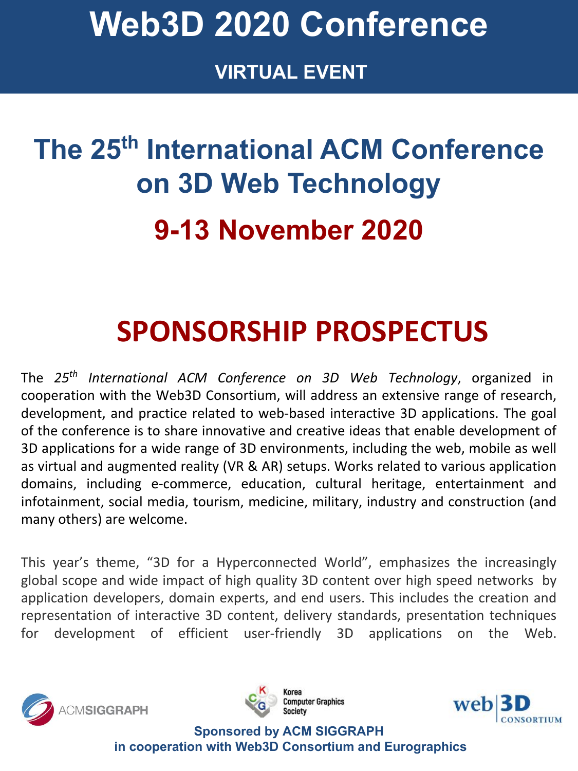**www.2020.web3dconference.org VIRTUAL EVENT**

## **The 25th International ACM Conference on 3D Web Technology 9-13 November 2020**

## **SPONSORSHIP PROSPECTUS**

The *25th International ACM Conference on 3D Web Technology*, organized in cooperation with the Web3D Consortium, will address an extensive range of research, development, and practice related to web-based interactive 3D applications. The goal of the conference is to share innovative and creative ideas that enable development of 3D applications for a wide range of 3D environments, including the web, mobile as well as virtual and augmented reality (VR & AR) setups. Works related to various application domains, including e-commerce, education, cultural heritage, entertainment and infotainment, social media, tourism, medicine, military, industry and construction (and many others) are welcome.

This year's theme, "3D for a Hyperconnected World", emphasizes the increasingly global scope and wide impact of high quality 3D content over high speed networks by application developers, domain experts, and end users. This includes the creation and representation of interactive 3D content, delivery standards, presentation techniques for development of efficient user-friendly 3D applications on the Web.





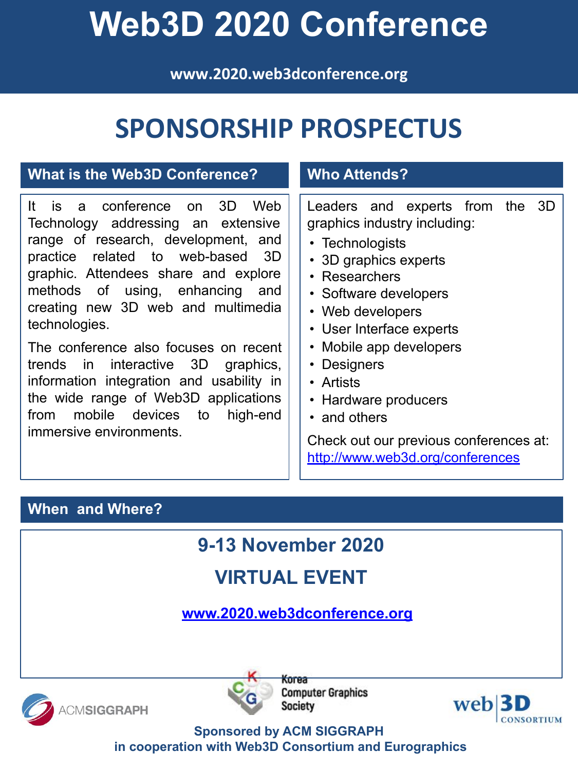**www.2020.web3dconference.org**

### **SPONSORSHIP PROSPECTUS**

#### **What is the Web3D Conference?**

It is a conference on 3D Web Technology addressing an extensive range of research, development, and practice related to web-based 3D graphic. Attendees share and explore methods of using, enhancing and creating new 3D web and multimedia technologies.

The conference also focuses on recent trends in interactive 3D graphics, information integration and usability in the wide range of Web3D applications from mobile devices to high-end immersive environments.

#### **Who Attends?**

Leaders and experts from the 3D graphics industry including:

- Technologists
- 3D graphics experts
- Researchers
- Software developers
- Web developers
- User Interface experts
- Mobile app developers
- Designers
- Artists
- Hardware producers
- and others

Check out our previous conferences at: <http://www.web3d.org/conferences>

#### **When and Where?**

**9-13 November 2020** 

### **VIRTUAL EVENT**

**[www.2020.web3dconference.org](http://2020.web3dconference.org/)**





**Korea Computer Graphics Society** 

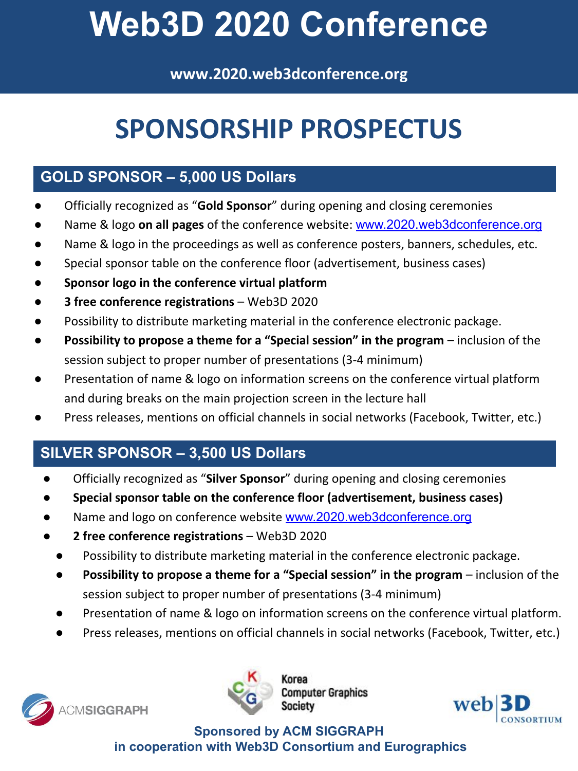**www.2020.web3dconference.org**

### **SPONSORSHIP PROSPECTUS**

### **GOLD SPONSOR – 5,000 US Dollars**

- Officially recognized as "**Gold Sponsor**" during opening and closing ceremonies
- Name & logo **on all pages** of the conference website: [www.2020.web3dconference.org](http://2020.web3dconference.org/)
- Name & logo in the proceedings as well as conference posters, banners, schedules, etc.
- Special sponsor table on the conference floor (advertisement, business cases)
- **● Sponsor logo in the conference virtual platform**
- **● 3 free conference registrations**  Web3D 2020
- Possibility to distribute marketing material in the conference electronic package.
- **Possibility to propose a theme for a "Special session" in the program** inclusion of the session subject to proper number of presentations (3-4 minimum)
- Presentation of name & logo on information screens on the conference virtual platform and during breaks on the main projection screen in the lecture hall
- Press releases, mentions on official channels in social networks (Facebook, Twitter, etc.)

### **SILVER SPONSOR – 3,500 US Dollars**

- Officially recognized as "**Silver Sponsor**" during opening and closing ceremonies
- **● Special sponsor table on the conference floor (advertisement, business cases)**
- Name and logo on conference website [www.2020.web3dconference.org](http://2020.web3dconference.org/)
- **● 2 free conference registrations** Web3D 2020
	- Possibility to distribute marketing material in the conference electronic package.
	- **Possibility to propose a theme for a "Special session" in the program** inclusion of the session subject to proper number of presentations (3-4 minimum)
	- Presentation of name & logo on information screens on the conference virtual platform.
	- Press releases, mentions on official channels in social networks (Facebook, Twitter, etc.)





omputer Graphics

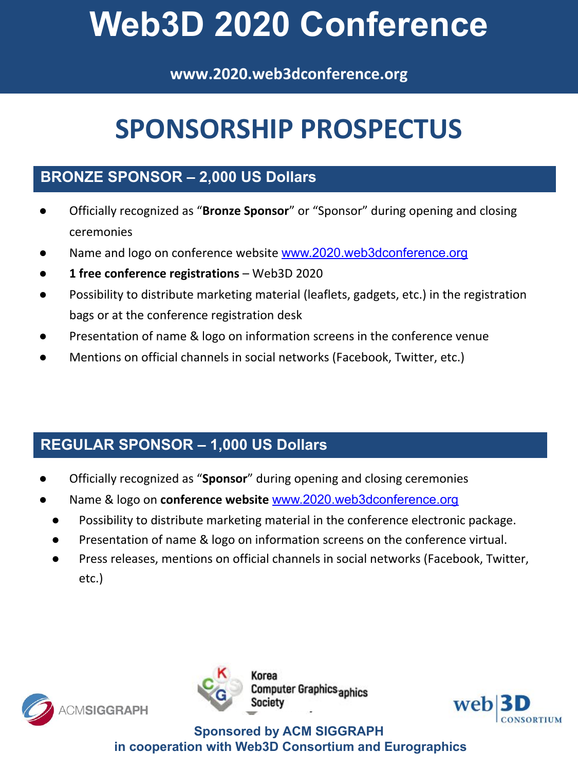**www.2020.web3dconference.org**

### **SPONSORSHIP PROSPECTUS**

### **BRONZE SPONSOR – 2,000 US Dollars**

- Officially recognized as "**Bronze Sponsor**" or "Sponsor" during opening and closing ceremonies
- Name and logo on conference website [www.2020.web3dconference.org](http://2020.web3dconference.org/)
- **● 1 free conference registrations** Web3D 2020
- Possibility to distribute marketing material (leaflets, gadgets, etc.) in the registration bags or at the conference registration desk
- Presentation of name & logo on information screens in the conference venue
- Mentions on official channels in social networks (Facebook, Twitter, etc.)

### **REGULAR SPONSOR – 1,000 US Dollars**

- Officially recognized as "**Sponsor**" during opening and closing ceremonies
- Name & logo on **conference website** [www.2020.web3dconference.org](http://2020.web3dconference.org/)
	- Possibility to distribute marketing material in the conference electronic package.
	- Presentation of name & logo on information screens on the conference virtual.
	- Press releases, mentions on official channels in social networks (Facebook, Twitter, etc.)





mputer Graphics <sub>aphics</sub>

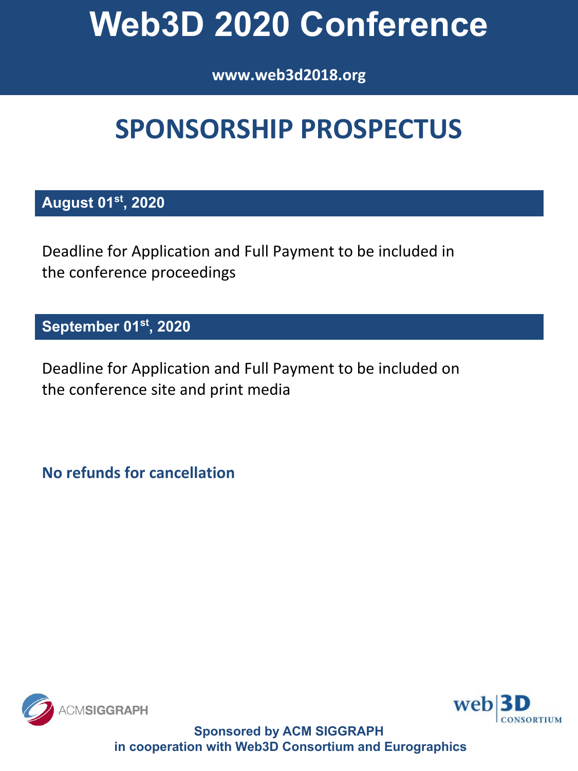### **www.2020.web3dconference.org www.web3d2018.org**

## **SPONSORSHIP PROSPECTUS**

### **August 01st, 2020**

Deadline for Application and Full Payment to be included in the conference proceedings

#### **September 01st, 2020**

Deadline for Application and Full Payment to be included on the conference site and print media

**No refunds for cancellation**